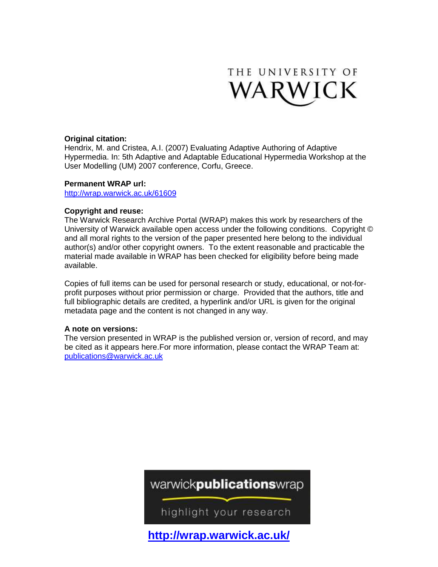

# **Original citation:**

Hendrix, M. and Cristea, A.I. (2007) Evaluating Adaptive Authoring of Adaptive Hypermedia. In: 5th Adaptive and Adaptable Educational Hypermedia Workshop at the User Modelling (UM) 2007 conference, Corfu, Greece.

# **Permanent WRAP url:**

<http://wrap.warwick.ac.uk/61609>

# **Copyright and reuse:**

The Warwick Research Archive Portal (WRAP) makes this work by researchers of the University of Warwick available open access under the following conditions. Copyright © and all moral rights to the version of the paper presented here belong to the individual author(s) and/or other copyright owners. To the extent reasonable and practicable the material made available in WRAP has been checked for eligibility before being made available.

Copies of full items can be used for personal research or study, educational, or not-forprofit purposes without prior permission or charge. Provided that the authors, title and full bibliographic details are credited, a hyperlink and/or URL is given for the original metadata page and the content is not changed in any way.

## **A note on versions:**

The version presented in WRAP is the published version or, version of record, and may be cited as it appears here.For more information, please contact the WRAP Team at: [publications@warwick.ac.uk](mailto:publications@warwick.ac.uk)

# warwickpublicationswrap

highlight your research

**<http://wrap.warwick.ac.uk/>**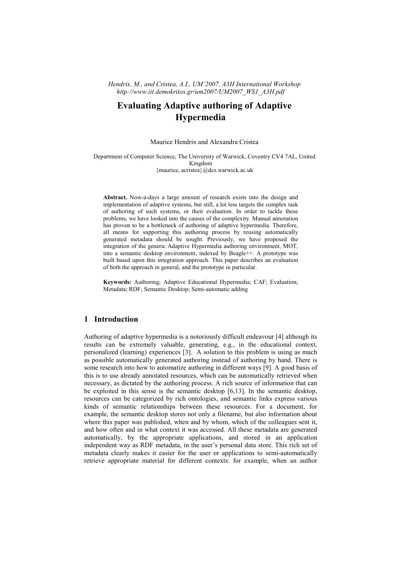*Hendrix, M., and Cristea, A.I., UM'2007, A3H International Workshop http://www.iit.demokritos.gr/um2007/UM2007\_WS1\_A3H.pdf*

# **Evaluating Adaptive authoring of Adaptive Hypermedia**

Maurice Hendrix and Alexandra Cristea

Department of Computer Science, The University of Warwick, Coventry CV4 7AL, United Kingdom {maurice, acristea}@dcs.warwick.ac.uk

**Abstract.** Now-a-days a large amount of research exists into the design and implementation of adaptive systems, but still, a lot less targets the complex task of authoring of such systems, or their evaluation. In order to tackle these problems, we have looked into the causes of the complexity. Manual annotation has proven to be a bottleneck of authoring of adaptive hypermedia. Therefore, all means for supporting this authoring process by reusing automatically generated metadata should be sought. Previously, we have proposed the integration of the generic Adaptive Hypermedia authoring environment, MOT, into a semantic desktop environment, indexed by Beagle++. A prototype was built based upon this integration approach. This paper describes an evaluation of both the approach in general, and the prototype in particular.

**Keywords:** Authoring; Adaptive Educational Hypermedia; CAF; Evaluation; Metadata; RDF; Semantic Desktop; Semi-automatic adding

# **1 Introduction**

Authoring of adaptive hypermedia is a notoriously difficult endeavour[[4\]](#page-8-0) although its results can be extremely valuable, generating, e.g., in the educational context, personalized (learning) experiences[[3\]](#page-8-1). A solution to this problem is using as much as possible automatically generated authoring instead of authoring by hand. There is some research into how to automatize authoring in different ways[[9\]](#page-8-2). A good basis of this is to use already annotated resources, which can be automatically retrieved when necessary, as dictated by the authoring process. A rich source of information that can be exploited in this sense is the semantic desktop[\[6](#page-8-3),[13\]](#page-8-4). In the semantic desktop, resources can be categorized by rich ontologies, and semantic links express various kinds of semantic relationships between these resources. For a document, for example, the semantic desktop stores not only a filename, but also information about where this paper was published, when and by whom, which of the colleagues sent it, and how often and in what context it was accessed. All these metadata are generated automatically, by the appropriate applications, and stored in an application independent way as RDF metadata, in the user's personal data store. This rich set of metadata clearly makes it easier for the user or applications to semi-automatically retrieve appropriate material for different contexts: for example, when an author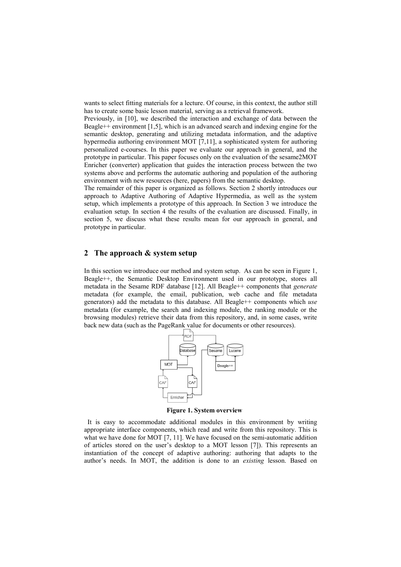wants to select fitting materials for a lecture. Of course, in this context, the author still has to create some basic lesson material, serving as a retrieval framework.

Previously,in[[10\]](#page-8-5), we described the interaction and exchange of data between the Beagle++ environment[[1,](#page-8-6)[5](#page-8-7)], which is an advanced search and indexing engine for the semantic desktop, generating and utilizing metadata information, and the adaptive hypermedia authoring environment MOT[\[7](#page-8-8),[11\]](#page-8-9), a sophisticated system for authoring personalized e-courses. In this paper we evaluate our approach in general, and the prototype in particular. This paper focuses only on the evaluation of the sesame2MOT Enricher (converter) application that guides the interaction process between the two systems above and performs the automatic authoring and population of the authoring environment with new resources (here, papers) from the semantic desktop.

The remainder of this paper is organized as follows. Section 2 shortly introduces our approach to Adaptive Authoring of Adaptive Hypermedia, as well as the system setup, which implements a prototype of this approach. In Section 3 we introduce the evaluation setup. In section 4 the results of the evaluation are discussed. Finally, in section 5, we discuss what these results mean for our approach in general, and prototype in particular.

# **2 The approach & system setup**

In this section we introduce our method and system setup. As can be seenin [Figure 1](#page-2-0), Beagle++, the Semantic Desktop Environment used in our prototype, stores all metadata in the Sesame RDF database [\[12](#page-8-10)]. All Beagle++ components that *generate* metadata (for example, the email, publication, web cache and file metadata generators) add the metadata to this database. All Beagle++ components which *use* metadata (for example, the search and indexing module, the ranking module or the browsing modules) retrieve their data from this repository, and, in some cases, write back new data (such as the PageRank value for documents or other resources).



<span id="page-2-0"></span>**Figure 1. System overview**

It is easy to accommodate additional modules in this environment by writing appropriate interface components, which read and write from this repository. This is whatwe have done for MOT [[7,](#page-8-8) [11\]](#page-8-9). We have focused on the semi-automatic addition of articles stored on the user's desktop to a MOT lesson[[7\]\)](#page-8-8). This represents an instantiation of the concept of adaptive authoring: authoring that adapts to the author's needs. In MOT, the addition is done to an *existing* lesson. Based on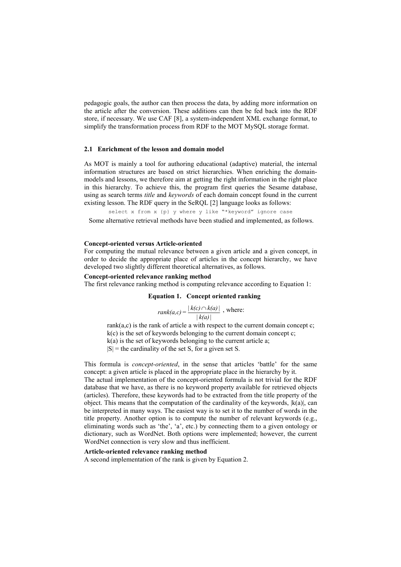pedagogic goals, the author can then process the data, by adding more information on the article after the conversion. These additions can then be fed back into the RDF store, if necessary. We useCAF [\[8](#page-8-11)], a system-independent XML exchange format, to simplify the transformation process from RDF to the MOT MySQL storage format.

#### **2.1 Enrichment of the lesson and domain model**

As MOT is mainly a tool for authoring educational (adaptive) material, the internal information structures are based on strict hierarchies. When enriching the domainmodels and lessons, we therefore aim at getting the right information in the right place in this hierarchy. To achieve this, the program first queries the Sesame database, using as search terms *title* and *keywords* of each domain concept found in the current existing lesson. The RDF query in the SeRQL[[2](#page-8-12)] language looks as follows:

select x from x {p} y where y like "\*keyword" ignore case

Some alternative retrieval methods have been studied and implemented, as follows.

#### **Concept-oriented versus Article-oriented**

For computing the mutual relevance between a given article and a given concept, in order to decide the appropriate place of articles in the concept hierarchy, we have developed two slightly different theoretical alternatives, as follows.

### **Concept-oriented relevance ranking method**

The first relevance ranking method is computing relevance according to Equation 1:

#### **Equation 1. Concept oriented ranking**

rank(a,c) = 
$$
\frac{|k(c) \cap k(a)|}{|k(a)|}
$$
, where:

rank $(a, c)$  is the rank of article a with respect to the current domain concept c;  $k(c)$  is the set of keywords belonging to the current domain concept c;  $k(a)$  is the set of keywords belonging to the current article a;  $|S|$  = the cardinality of the set S, for a given set S.

This formula is *concept-oriented*, in the sense that articles 'battle' for the same concept: a given article is placed in the appropriate place in the hierarchy by it. The actual implementation of the concept-oriented formula is not trivial for the RDF database that we have, as there is no keyword property available for retrieved objects (articles). Therefore, these keywords had to be extracted from the title property of the object. This means that the computation of the cardinality of the keywords,  $k(a)$ , can be interpreted in many ways. The easiest way is to set it to the number of words in the title property. Another option is to compute the number of relevant keywords (e.g., eliminating words such as 'the', 'a', etc.) by connecting them to a given ontology or dictionary, such as WordNet. Both options were implemented; however, the current WordNet connection is very slow and thus inefficient.

#### **Article-oriented relevance ranking method**

A second implementation of the rank is givenby [Equation 2.](#page-4-0)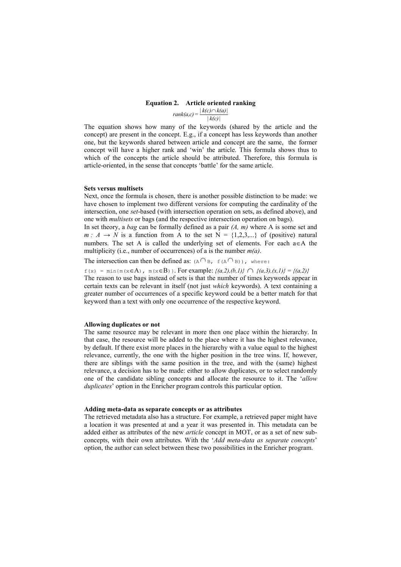#### <span id="page-4-0"></span>**Equation 2. Article oriented ranking**

 $|k(c)|$  $rank(a,c) = \frac{|k(c) \cap k(a)|}{|k(c)|}$ 

The equation shows how many of the keywords (shared by the article and the concept) are present in the concept. E.g., if a concept has less keywords than another one, but the keywords shared between article and concept are the same, the former concept will have a higher rank and 'win' the article. This formula shows thus to which of the concepts the article should be attributed. Therefore, this formula is article-oriented, in the sense that concepts 'battle' for the same article.

#### **Sets versus multisets**

Next, once the formula is chosen, there is another possible distinction to be made: we have chosen to implement two different versions for computing the cardinality of the intersection, one *set*-based (with intersection operation on sets, as defined above), and one with *multisets* or bags (and the respective intersection operation on bags).

In set theory, a *bag* can be formally defined as a pair *(A, m)* where A is some set and  $m: A \rightarrow N$  is a function from A to the set  $N = \{1,2,3,...\}$  of (positive) natural numbers. The set A is called the underlying set of elements. For each  $a \in A$  the multiplicity (i.e., number of occurrences) of a is the number *m(a)*.

The intersection can then be defined as:  $(A \cap B, f(A \cap B))$ , where:

 $f(x) = min{m(x \in A), m(x \in B)}$ . For example:  $\{(a,2),(b,1)\} \cap \{(a,3),(x,1)\} = \{(a,2)\}$ The reason to use bags instead of sets is that the number of times keywords appear in certain texts can be relevant in itself (not just *which* keywords). A text containing a greater number of occurrences of a specific keyword could be a better match for that keyword than a text with only one occurrence of the respective keyword.

#### **Allowing duplicates or not**

The same resource may be relevant in more then one place within the hierarchy. In that case, the resource will be added to the place where it has the highest relevance, by default. If there exist more places in the hierarchy with a value equal to the highest relevance, currently, the one with the higher position in the tree wins. If, however, there are siblings with the same position in the tree, and with the (same) highest relevance, a decision has to be made: either to allow duplicates, or to select randomly one of the candidate sibling concepts and allocate the resource to it. The '*allow duplicates*' option in the Enricher program controls this particular option.

#### **Adding meta-data as separate concepts or as attributes**

The retrieved metadata also has a structure. For example, a retrieved paper might have a location it was presented at and a year it was presented in. This metadata can be added either as attributes of the new *article* concept in MOT, or as a set of new subconcepts, with their own attributes. With the '*Add meta-data as separate concepts*' option, the author can select between these two possibilities in the Enricher program.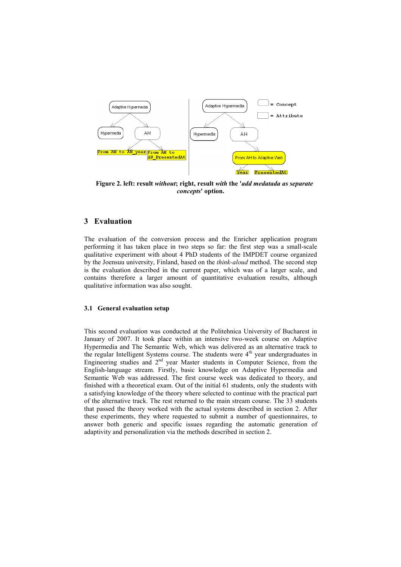

**Figure 2. left: result** *without***; right, result** *with* **the '***add medatada as separate concepts***' option.**

# **3 Evaluation**

The evaluation of the conversion process and the Enricher application program performing it has taken place in two steps so far: the first step was a small-scale qualitative experiment with about 4 PhD students of the IMPDET course organized by the Joensuu university, Finland, based on the *think-aloud* method. The second step is the evaluation described in the current paper, which was of a larger scale, and contains therefore a larger amount of quantitative evaluation results, although qualitative information was also sought.

#### **3.1 General evaluation setup**

This second evaluation was conducted at the Politehnica University of Bucharest in January of 2007. It took place within an intensive two-week course on Adaptive Hypermedia and The Semantic Web, which was delivered as an alternative track to the regular Intelligent Systems course. The students were 4<sup>th</sup> year undergraduates in Engineering studies and  $2<sup>nd</sup>$  year Master students in Computer Science, from the English-language stream. Firstly, basic knowledge on Adaptive Hypermedia and Semantic Web was addressed. The first course week was dedicated to theory, and finished with a theoretical exam. Out of the initial 61 students, only the students with a satisfying knowledge of the theory where selected to continue with the practical part of the alternative track. The rest returned to the main stream course. The 33 students that passed the theory worked with the actual systems described in section 2. After these experiments, they where requested to submit a number of questionnaires, to answer both generic and specific issues regarding the automatic generation of adaptivity and personalization via the methods described in section 2.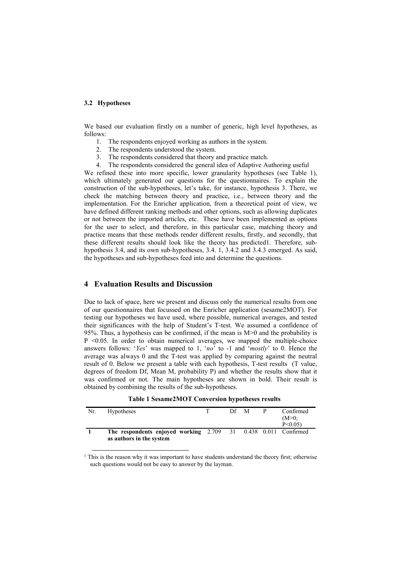#### **3.2 Hypotheses**

We based our evaluation firstly on a number of generic, high level hypotheses, as follows:

- 1. The respondents enjoyed working as authors in the system.
- 2. The respondents understood the system.
- 3. The respondents considered that theory and practice match.
- 4. The respondents considered the general idea of Adaptive Authoring useful

We refined these into more specific, lower granularity hypotheses(see [Table 1\)](#page-6-0), which ultimately generated our questions for the questionnaires. To explain the construction of the sub-hypotheses, let's take, for instance, hypothesis 3. There, we check the matching between theory and practice, i.e., between theory and the implementation. For the Enricher application, from a theoretical point of view, we have defined different ranking methods and other options, such as allowing duplicates or not between the imported articles, etc. These have been implemented as options for the user to select, and therefore, in this particular case, matching theory and practice means that these methods render different results, firstly, and secondly, that these different results should look like the theory has predicted[1.](#page-6-1) Therefore, subhypothesis 3.4, and its own sub-hypotheses, 3.4. 1, 3.4.2 and 3.4.3 emerged. As said, the hypotheses and sub-hypotheses feed into and determine the questions.

# **4 Evaluation Results and Discussion**

Due to lack of space, here we present and discuss only the numerical results from one of our questionnaires that focussed on the Enricher application (sesame2MOT). For testing our hypotheses we have used, where possible, numerical averages, and tested their significances with the help of Student's T-test. We assumed a confidence of 95%. Thus, a hypothesis can be confirmed, if the mean is M>0 and the probability is  $P \leq 0.05$ . In order to obtain numerical averages, we mapped the multiple-choice answers follows: '*Yes*' was mapped to 1, '*no*' to -1 and '*mostly*' to 0. Hence the average was always 0 and the T-test was applied by comparing against the neutral result of 0. Below we present a table with each hypothesis, T-test results (T value, degrees of freedom Df, Mean M, probability P) and whether the results show that it was confirmed or not. The main hypotheses are shown in bold. Their result is obtained by combining the results of the sub-hypotheses.

| Nr. | <b>Hypotheses</b>                                                     | Df M |  | Confirmed |
|-----|-----------------------------------------------------------------------|------|--|-----------|
|     |                                                                       |      |  | $(M>0)$ : |
|     |                                                                       |      |  | P < 0.05  |
|     | <b>The respondents enjoyed working 2.709 31 0.438 0.011 Confirmed</b> |      |  |           |
|     | as authors in the system                                              |      |  |           |

<span id="page-6-0"></span>

|  | Table 1 Sesame2MOT Conversion hypotheses results |  |  |  |
|--|--------------------------------------------------|--|--|--|
|--|--------------------------------------------------|--|--|--|

<span id="page-6-1"></span> $<sup>1</sup>$  This is the reason why it was important to have students understand the theory first; otherwise</sup> such questions would not be easy to answer by the layman.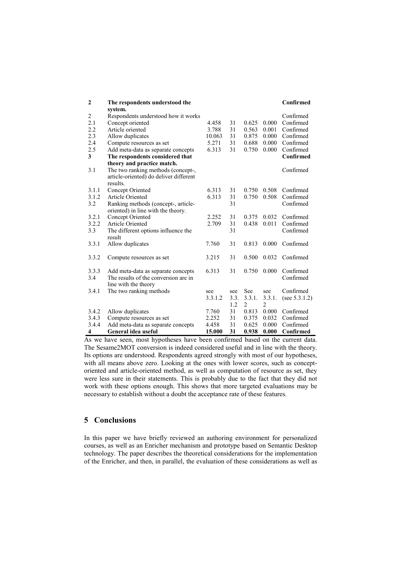| $\boldsymbol{2}$ | The respondents understood the         |         |      |                |                | Confirmed        |
|------------------|----------------------------------------|---------|------|----------------|----------------|------------------|
|                  | system.                                |         |      |                |                |                  |
| $\overline{2}$   | Respondents understood how it works    |         |      |                |                | Confirmed        |
| 2.1              | Concept oriented                       | 4.458   | 31   | 0.625          | 0.000          | Confirmed        |
| 2.2              | Article oriented                       | 3.788   | 31   | 0.563          | 0.001          | Confirmed        |
| 2.3              | Allow duplicates                       | 10.063  | 31   | 0.875          | 0.000          | Confirmed        |
| 2.4              | Compute resources as set               | 5.271   | 31   | 0.688          | 0.000          | Confirmed        |
| 2.5              | Add meta-data as separate concepts     | 6.313   | 31   | 0.750          | 0.000          | Confirmed        |
| 3                | The respondents considered that        |         |      |                |                | Confirmed        |
|                  | theory and practice match.             |         |      |                |                |                  |
| 3.1              | The two ranking methods (concept-,     |         |      |                |                | Confirmed        |
|                  | article-oriented) do deliver different |         |      |                |                |                  |
|                  | results.                               |         |      |                |                |                  |
| 3.1.1            | Concept Oriented                       | 6.313   | 31   | 0.750          | 0.508          | Confirmed        |
| 3.1.2            | <b>Article Oriented</b>                | 6.313   | 31   | 0.750          | 0.508          | Confirmed        |
| 3.2              | Ranking methods (concept-, article-    |         | 31   |                |                | Confirmed        |
|                  | oriented) in line with the theory.     |         |      |                |                |                  |
| 3.2.1            | Concept Oriented                       | 2.252   | 31   | 0.375          | 0.032          | Confirmed        |
| 3.2.2            | <b>Article Oriented</b>                | 2.709   | 31   | 0.438          | 0.011          | Confirmed        |
| 3.3              | The different options influence the    |         | 31   |                |                | Confirmed        |
|                  | result                                 |         |      |                |                |                  |
| 3.3.1            | Allow duplicates                       | 7.760   | 31   | 0.813          | 0.000          | Confirmed        |
|                  |                                        |         |      |                |                |                  |
| 3.3.2            | Compute resources as set               | 3.215   | 31   | 0.500          | 0.032          | Confirmed        |
|                  |                                        |         |      |                |                |                  |
| 3.3.3            | Add meta-data as separate concepts     | 6.313   | 31   | 0.750          | 0.000          | Confirmed        |
| 3.4              | The results of the conversion are in   |         |      |                |                | Confirmed        |
|                  | line with the theory                   |         |      |                |                |                  |
| 3.4.1            | The two ranking methods                | see     | see  | See            | see            | Confirmed        |
|                  |                                        | 3.3.1.2 | 3.3. | 3.3.1.         | 3.3.1.         | (see $5.3.1.2$ ) |
|                  |                                        |         | 1.2  | $\overline{2}$ | $\overline{2}$ |                  |
| 3.4.2            | Allow duplicates                       | 7.760   | 31   | 0.813          | 0.000          | Confirmed        |
| 3.4.3            | Compute resources as set               | 2.252   | 31   | 0.375          | 0.032          | Confirmed        |
| 3.4.4            | Add meta-data as separate concepts     | 4.458   | 31   | 0.625          | 0.000          | Confirmed        |
| 4                | General idea useful                    | 15.000  | 31   | 0.938          | 0.000          | Confirmed        |

As we have seen, most hypotheses have been confirmed based on the current data. The Sesame2MOT conversion is indeed considered useful and in line with the theory. Its options are understood. Respondents agreed strongly with most of our hypotheses, with all means above zero. Looking at the ones with lower scores, such as conceptoriented and article-oriented method, as well as computation of resource as set, they were less sure in their statements. This is probably due to the fact that they did not work with these options enough. This shows that more targeted evaluations may be necessary to establish without a doubt the acceptance rate of these features.

# **5 Conclusions**

In this paper we have briefly reviewed an authoring environment for personalized courses, as well as an Enricher mechanism and prototype based on Semantic Desktop technology. The paper describes the theoretical considerations for the implementation of the Enricher, and then, in parallel, the evaluation of these considerations as well as